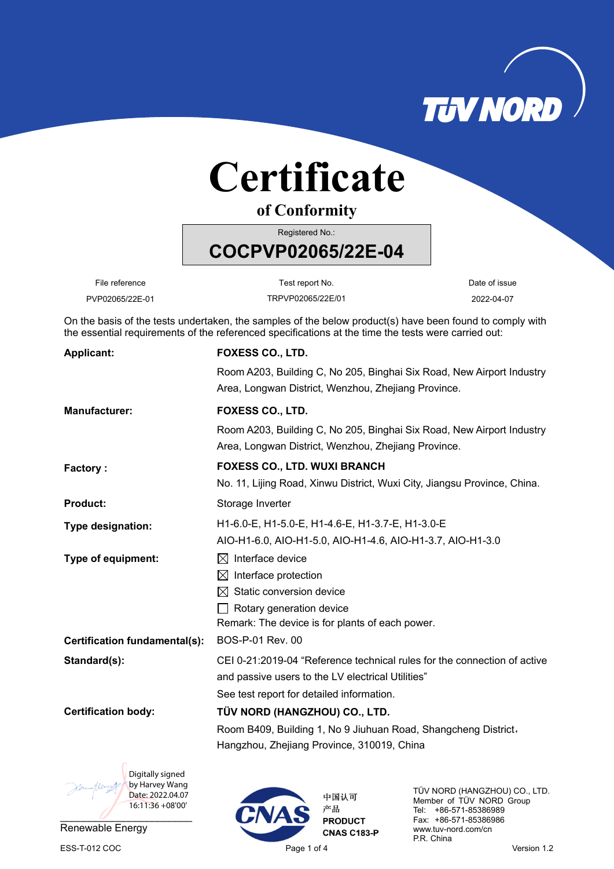

## **Certificate**

**of Conformity**

Registered No.:

File reference **Test report No.** Test report No. Test report No.

**COCPVP02065/22E-04** 

PVP02065/22E-01 TRPVP02065/22E/01 2022-04-07

On the basis of the tests undertaken, the samples of the below product(s) have been found to comply with the essential requirements of the referenced specifications at the time the tests were carried out:

| <b>Applicant:</b>             | FOXESS CO., LTD.                                                                                                             |
|-------------------------------|------------------------------------------------------------------------------------------------------------------------------|
|                               | Room A203, Building C, No 205, Binghai Six Road, New Airport Industry<br>Area, Longwan District, Wenzhou, Zhejiang Province. |
| <b>Manufacturer:</b>          | <b>FOXESS CO., LTD.</b>                                                                                                      |
|                               | Room A203, Building C, No 205, Binghai Six Road, New Airport Industry<br>Area, Longwan District, Wenzhou, Zhejiang Province. |
| Factory:                      | <b>FOXESS CO., LTD. WUXI BRANCH</b>                                                                                          |
|                               | No. 11, Lijing Road, Xinwu District, Wuxi City, Jiangsu Province, China.                                                     |
| <b>Product:</b>               | Storage Inverter                                                                                                             |
| Type designation:             | H1-6.0-E, H1-5.0-E, H1-4.6-E, H1-3.7-E, H1-3.0-E                                                                             |
|                               | AIO-H1-6.0, AIO-H1-5.0, AIO-H1-4.6, AIO-H1-3.7, AIO-H1-3.0                                                                   |
| Type of equipment:            | Interface device<br>$\bowtie$                                                                                                |
|                               | Interface protection<br>M                                                                                                    |
|                               | Static conversion device<br>IХI                                                                                              |
|                               | Rotary generation device                                                                                                     |
|                               | Remark: The device is for plants of each power.                                                                              |
| Certification fundamental(s): | BOS-P-01 Rev. 00                                                                                                             |
| Standard(s):                  | CEI 0-21:2019-04 "Reference technical rules for the connection of active                                                     |
|                               | and passive users to the LV electrical Utilities"                                                                            |
|                               | See test report for detailed information.                                                                                    |
| <b>Certification body:</b>    | TÜV NORD (HANGZHOU) CO., LTD.                                                                                                |
|                               | Room B409, Building 1, No 9 Jiuhuan Road, Shangcheng District,                                                               |
|                               | Hangzhou, Zhejiang Province, 310019, China                                                                                   |
| Digitally signed              |                                                                                                                              |



Renewable Energy ESS-T-012 COC **Page 1 of 4** Page 1 of 4 Version 1.2



TÜV NORD (HANGZHOU) CO., LTD. Member of TÜV NORD Group Tel: +86-571-85386989 Fax: +86-571-85386986 www.tuv-nord.com/cn P.R. China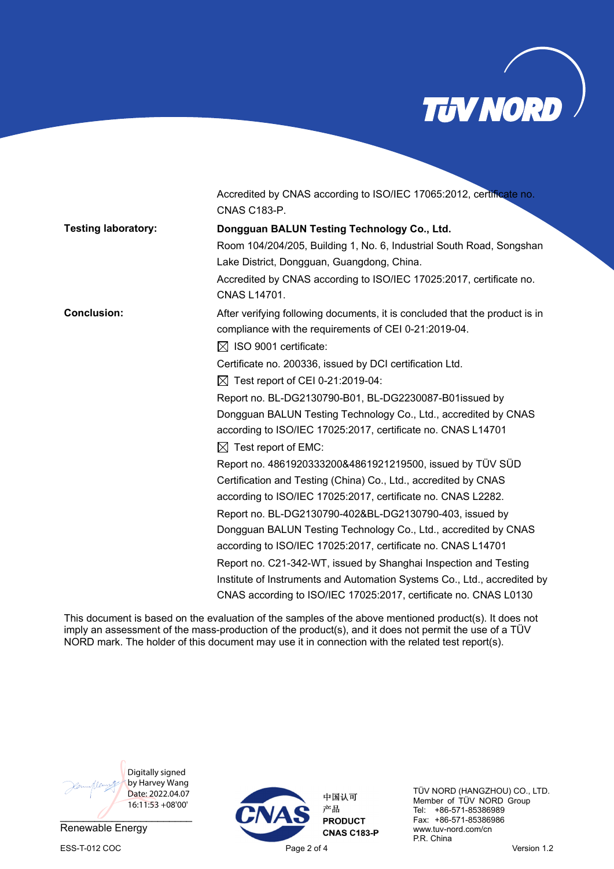

|                            | Accredited by CNAS according to ISO/IEC 17065:2012, certificate no.<br><b>CNAS C183-P.</b>                                                                                |
|----------------------------|---------------------------------------------------------------------------------------------------------------------------------------------------------------------------|
| <b>Testing laboratory:</b> | Dongguan BALUN Testing Technology Co., Ltd.                                                                                                                               |
|                            | Room 104/204/205, Building 1, No. 6, Industrial South Road, Songshan<br>Lake District, Dongguan, Guangdong, China.                                                        |
|                            | Accredited by CNAS according to ISO/IEC 17025:2017, certificate no.<br><b>CNAS L14701.</b>                                                                                |
| <b>Conclusion:</b>         | After verifying following documents, it is concluded that the product is in<br>compliance with the requirements of CEI 0-21:2019-04.<br>$\boxtimes$ ISO 9001 certificate: |
|                            | Certificate no. 200336, issued by DCI certification Ltd.                                                                                                                  |
|                            | $\boxtimes$ Test report of CEI 0-21:2019-04:                                                                                                                              |
|                            | Report no. BL-DG2130790-B01, BL-DG2230087-B01issued by                                                                                                                    |
|                            | Dongguan BALUN Testing Technology Co., Ltd., accredited by CNAS<br>according to ISO/IEC 17025:2017, certificate no. CNAS L14701                                           |
|                            | $\boxtimes$ Test report of EMC:                                                                                                                                           |
|                            | Report no. 4861920333200&4861921219500, issued by TÜV SÜD<br>Certification and Testing (China) Co., Ltd., accredited by CNAS                                              |
|                            | according to ISO/IEC 17025:2017, certificate no. CNAS L2282.                                                                                                              |
|                            | Report no. BL-DG2130790-402&BL-DG2130790-403, issued by                                                                                                                   |
|                            | Dongguan BALUN Testing Technology Co., Ltd., accredited by CNAS                                                                                                           |
|                            | according to ISO/IEC 17025:2017, certificate no. CNAS L14701                                                                                                              |
|                            | Report no. C21-342-WT, issued by Shanghai Inspection and Testing                                                                                                          |
|                            | Institute of Instruments and Automation Systems Co., Ltd., accredited by                                                                                                  |
|                            | CNAS according to ISO/IEC 17025:2017, certificate no. CNAS L0130                                                                                                          |

This document is based on the evaluation of the samples of the above mentioned product(s). It does not imply an assessment of the mass-production of the product(s), and it does not permit the use of a TÜV NORD mark. The holder of this document may use it in connection with the related test report(s).



Renewable Energy



TÜV NORD (HANGZHOU) CO., LTD. Member of TÜV NORD Group Tel: +86-571-85386989 Fax: +86-571-85386986 www.tuv-nord.com/cn P.R. China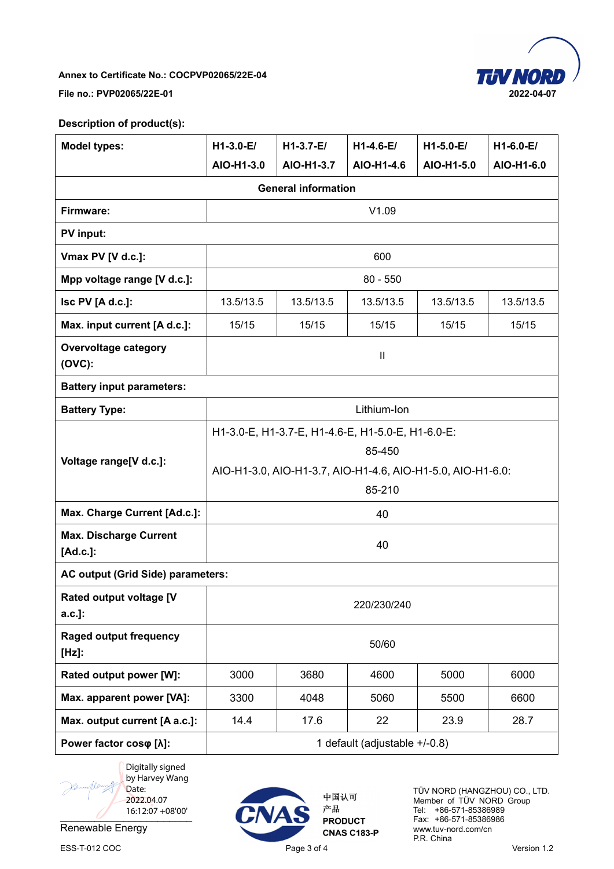

## **Annex to Certificate No.: COCPVP02065/22E-04**

**File no.: PVP02065/22E-01 2022-04-07** 

## **Description of product(s):**

| <b>Model types:</b>                       | $H1-3.0-E/$                                                                                                                          | $H1-3.7-E/$ | $H1-4.6-E/$ | $H1-5.0-E/$ | $H1-6.0-E/$ |  |  |  |  |
|-------------------------------------------|--------------------------------------------------------------------------------------------------------------------------------------|-------------|-------------|-------------|-------------|--|--|--|--|
|                                           | AIO-H1-3.0                                                                                                                           | AIO-H1-3.7  | AIO-H1-4.6  | AIO-H1-5.0  | AIO-H1-6.0  |  |  |  |  |
| <b>General information</b>                |                                                                                                                                      |             |             |             |             |  |  |  |  |
| Firmware:                                 | V1.09                                                                                                                                |             |             |             |             |  |  |  |  |
| PV input:                                 |                                                                                                                                      |             |             |             |             |  |  |  |  |
| Vmax PV [V d.c.]:                         | 600                                                                                                                                  |             |             |             |             |  |  |  |  |
| Mpp voltage range [V d.c.]:               | $80 - 550$                                                                                                                           |             |             |             |             |  |  |  |  |
| Isc PV [A d.c.]:                          | 13.5/13.5                                                                                                                            | 13.5/13.5   | 13.5/13.5   | 13.5/13.5   | 13.5/13.5   |  |  |  |  |
| Max. input current [A d.c.]:              | 15/15                                                                                                                                | 15/15       | 15/15       | 15/15       | 15/15       |  |  |  |  |
| <b>Overvoltage category</b><br>$(OVC)$ :  | $\mathbf{  }$                                                                                                                        |             |             |             |             |  |  |  |  |
| <b>Battery input parameters:</b>          |                                                                                                                                      |             |             |             |             |  |  |  |  |
| <b>Battery Type:</b>                      | Lithium-Ion                                                                                                                          |             |             |             |             |  |  |  |  |
| Voltage range[V d.c.]:                    | H1-3.0-E, H1-3.7-E, H1-4.6-E, H1-5.0-E, H1-6.0-E:<br>85-450<br>AIO-H1-3.0, AIO-H1-3.7, AIO-H1-4.6, AIO-H1-5.0, AIO-H1-6.0:<br>85-210 |             |             |             |             |  |  |  |  |
| Max. Charge Current [Ad.c.]:              | 40                                                                                                                                   |             |             |             |             |  |  |  |  |
| <b>Max. Discharge Current</b><br>[Ad.c.]: | 40                                                                                                                                   |             |             |             |             |  |  |  |  |
| AC output (Grid Side) parameters:         |                                                                                                                                      |             |             |             |             |  |  |  |  |
| Rated output voltage [V<br>a.c.]:         | 220/230/240                                                                                                                          |             |             |             |             |  |  |  |  |
| <b>Raged output frequency</b><br>$[Hz]$ : | 50/60                                                                                                                                |             |             |             |             |  |  |  |  |
| Rated output power [W]:                   | 3000                                                                                                                                 | 3680        | 4600        | 5000        | 6000        |  |  |  |  |
| Max. apparent power [VA]:                 | 3300                                                                                                                                 | 4048        | 5060        | 5500        | 6600        |  |  |  |  |
| Max. output current [A a.c.]:             | 14.4                                                                                                                                 | 17.6        | 22          | 23.9        | 28.7        |  |  |  |  |
| Power factor coso [ $\lambda$ ]:          | 1 default (adjustable +/-0.8)                                                                                                        |             |             |             |             |  |  |  |  |



Renewable Energy



中国认可 产品 **PRODUCT CNAS C183-P** 

TÜV NORD (HANGZHOU) CO., LTD. Member of TÜV NORD Group Tel: +86-571-85386989 Fax: +86-571-85386986 www.tuv-nord.com/cn P.R. China